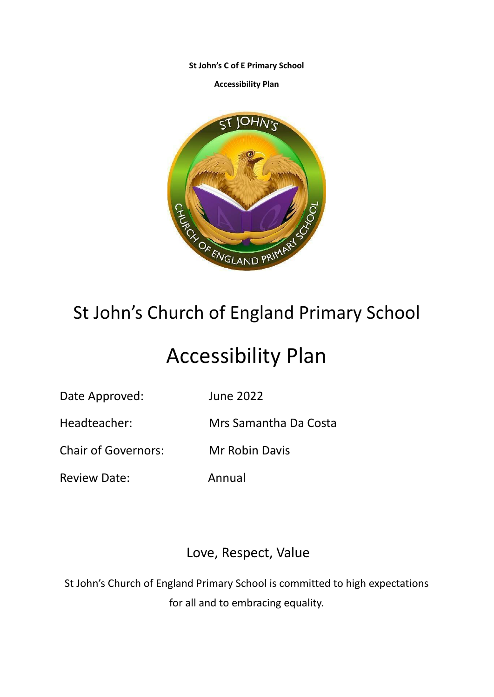**St John's C of E Primary School**

**Accessibility Plan**



## St John's Church of England Primary School

# Accessibility Plan

Date Approved: June 2022

Headteacher: Mrs Samantha Da Costa

Chair of Governors: Mr Robin Davis

Review Date: Annual

### Love, Respect, Value

St John's Church of England Primary School is committed to high expectations for all and to embracing equality.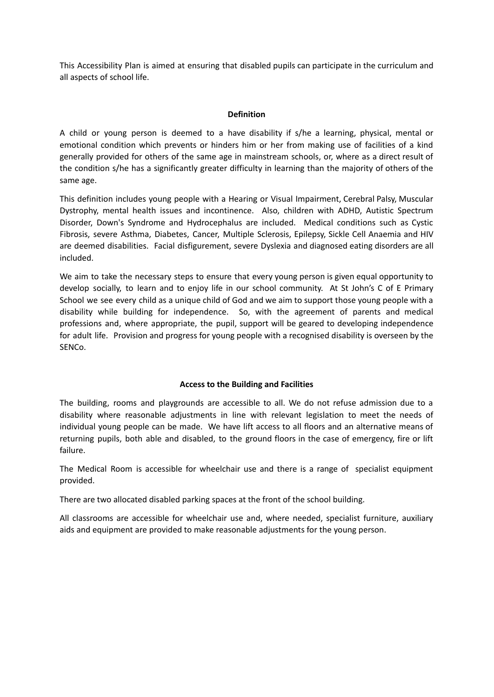This Accessibility Plan is aimed at ensuring that disabled pupils can participate in the curriculum and all aspects of school life.

#### **Definition**

A child or young person is deemed to a have disability if s/he a learning, physical, mental or emotional condition which prevents or hinders him or her from making use of facilities of a kind generally provided for others of the same age in mainstream schools, or, where as a direct result of the condition s/he has a significantly greater difficulty in learning than the majority of others of the same age.

This definition includes young people with a Hearing or Visual Impairment, Cerebral Palsy, Muscular Dystrophy, mental health issues and incontinence. Also, children with ADHD, Autistic Spectrum Disorder, Down's Syndrome and Hydrocephalus are included. Medical conditions such as Cystic Fibrosis, severe Asthma, Diabetes, Cancer, Multiple Sclerosis, Epilepsy, Sickle Cell Anaemia and HIV are deemed disabilities. Facial disfigurement, severe Dyslexia and diagnosed eating disorders are all included.

We aim to take the necessary steps to ensure that every young person is given equal opportunity to develop socially, to learn and to enjoy life in our school community. At St John's C of E Primary School we see every child as a unique child of God and we aim to support those young people with a disability while building for independence. So, with the agreement of parents and medical professions and, where appropriate, the pupil, support will be geared to developing independence for adult life. Provision and progress for young people with a recognised disability is overseen by the SENCo.

#### **Access to the Building and Facilities**

The building, rooms and playgrounds are accessible to all. We do not refuse admission due to a disability where reasonable adjustments in line with relevant legislation to meet the needs of individual young people can be made. We have lift access to all floors and an alternative means of returning pupils, both able and disabled, to the ground floors in the case of emergency, fire or lift failure.

The Medical Room is accessible for wheelchair use and there is a range of specialist equipment provided.

There are two allocated disabled parking spaces at the front of the school building.

All classrooms are accessible for wheelchair use and, where needed, specialist furniture, auxiliary aids and equipment are provided to make reasonable adjustments for the young person.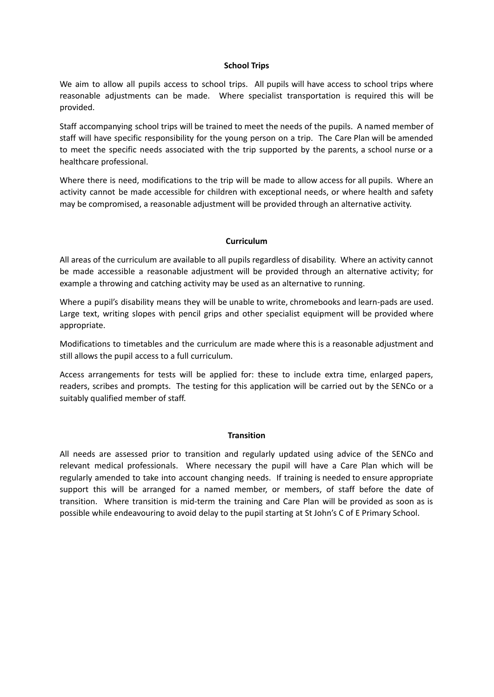#### **School Trips**

We aim to allow all pupils access to school trips. All pupils will have access to school trips where reasonable adjustments can be made. Where specialist transportation is required this will be provided.

Staff accompanying school trips will be trained to meet the needs of the pupils. A named member of staff will have specific responsibility for the young person on a trip. The Care Plan will be amended to meet the specific needs associated with the trip supported by the parents, a school nurse or a healthcare professional.

Where there is need, modifications to the trip will be made to allow access for all pupils. Where an activity cannot be made accessible for children with exceptional needs, or where health and safety may be compromised, a reasonable adjustment will be provided through an alternative activity.

#### **Curriculum**

All areas of the curriculum are available to all pupils regardless of disability. Where an activity cannot be made accessible a reasonable adjustment will be provided through an alternative activity; for example a throwing and catching activity may be used as an alternative to running.

Where a pupil's disability means they will be unable to write, chromebooks and learn-pads are used. Large text, writing slopes with pencil grips and other specialist equipment will be provided where appropriate.

Modifications to timetables and the curriculum are made where this is a reasonable adjustment and still allows the pupil access to a full curriculum.

Access arrangements for tests will be applied for: these to include extra time, enlarged papers, readers, scribes and prompts. The testing for this application will be carried out by the SENCo or a suitably qualified member of staff.

#### **Transition**

All needs are assessed prior to transition and regularly updated using advice of the SENCo and relevant medical professionals. Where necessary the pupil will have a Care Plan which will be regularly amended to take into account changing needs. If training is needed to ensure appropriate support this will be arranged for a named member, or members, of staff before the date of transition. Where transition is mid-term the training and Care Plan will be provided as soon as is possible while endeavouring to avoid delay to the pupil starting at St John's C of E Primary School.